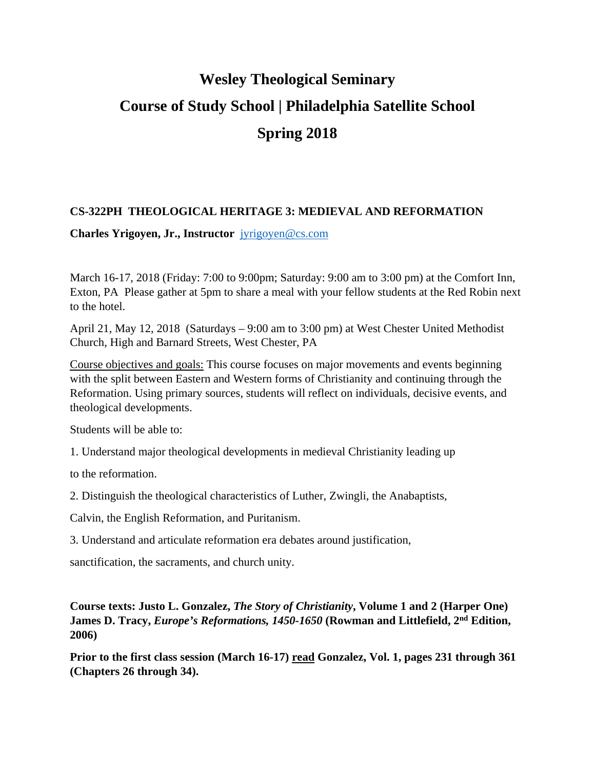# **Wesley Theological Seminary Course of Study School | Philadelphia Satellite School Spring 2018**

## **CS-322PH THEOLOGICAL HERITAGE 3: MEDIEVAL AND REFORMATION**

**Charles Yrigoyen, Jr., Instructor** jyrigoyen@cs.com

March 16-17, 2018 (Friday: 7:00 to 9:00pm; Saturday: 9:00 am to 3:00 pm) at the Comfort Inn, Exton, PA Please gather at 5pm to share a meal with your fellow students at the Red Robin next to the hotel.

April 21, May 12, 2018 (Saturdays – 9:00 am to 3:00 pm) at West Chester United Methodist Church, High and Barnard Streets, West Chester, PA

Course objectives and goals: This course focuses on major movements and events beginning with the split between Eastern and Western forms of Christianity and continuing through the Reformation. Using primary sources, students will reflect on individuals, decisive events, and theological developments.

Students will be able to:

1. Understand major theological developments in medieval Christianity leading up

to the reformation.

2. Distinguish the theological characteristics of Luther, Zwingli, the Anabaptists,

Calvin, the English Reformation, and Puritanism.

3. Understand and articulate reformation era debates around justification,

sanctification, the sacraments, and church unity.

## **Course texts: Justo L. Gonzalez,** *The Story of Christianity***, Volume 1 and 2 (Harper One) James D. Tracy,** *Europe's Reformations, 1450-1650* **(Rowman and Littlefield, 2nd Edition, 2006)**

**Prior to the first class session (March 16-17) read Gonzalez, Vol. 1, pages 231 through 361 (Chapters 26 through 34).**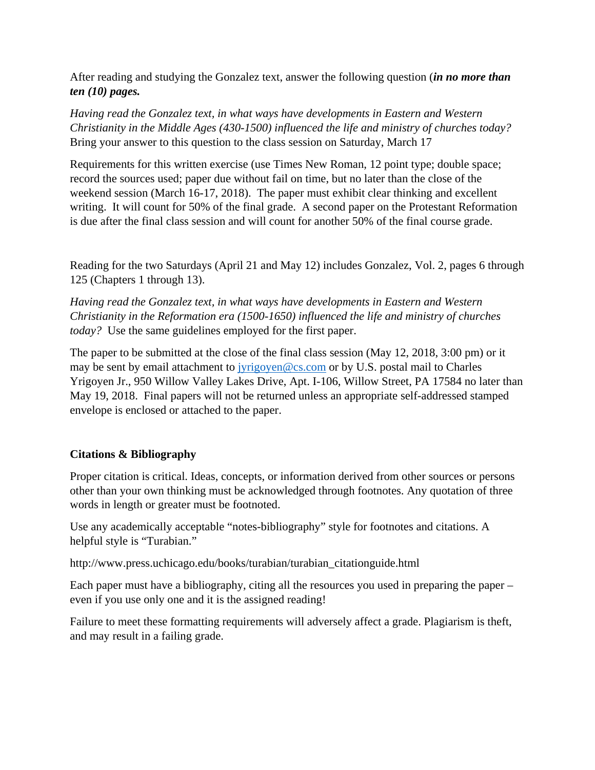After reading and studying the Gonzalez text, answer the following question (*in no more than ten (10) pages.*

*Having read the Gonzalez text, in what ways have developments in Eastern and Western Christianity in the Middle Ages (430-1500) influenced the life and ministry of churches today?* Bring your answer to this question to the class session on Saturday, March 17

Requirements for this written exercise (use Times New Roman, 12 point type; double space; record the sources used; paper due without fail on time, but no later than the close of the weekend session (March 16-17, 2018). The paper must exhibit clear thinking and excellent writing. It will count for 50% of the final grade. A second paper on the Protestant Reformation is due after the final class session and will count for another 50% of the final course grade.

Reading for the two Saturdays (April 21 and May 12) includes Gonzalez, Vol. 2, pages 6 through 125 (Chapters 1 through 13).

*Having read the Gonzalez text, in what ways have developments in Eastern and Western Christianity in the Reformation era (1500-1650) influenced the life and ministry of churches today?* Use the same guidelines employed for the first paper.

The paper to be submitted at the close of the final class session (May 12, 2018, 3:00 pm) or it may be sent by email attachment to jyrigoyen@cs.com or by U.S. postal mail to Charles Yrigoyen Jr., 950 Willow Valley Lakes Drive, Apt. I-106, Willow Street, PA 17584 no later than May 19, 2018. Final papers will not be returned unless an appropriate self-addressed stamped envelope is enclosed or attached to the paper.

# **Citations & Bibliography**

Proper citation is critical. Ideas, concepts, or information derived from other sources or persons other than your own thinking must be acknowledged through footnotes. Any quotation of three words in length or greater must be footnoted.

Use any academically acceptable "notes-bibliography" style for footnotes and citations. A helpful style is "Turabian."

http://www.press.uchicago.edu/books/turabian/turabian\_citationguide.html

Each paper must have a bibliography, citing all the resources you used in preparing the paper – even if you use only one and it is the assigned reading!

Failure to meet these formatting requirements will adversely affect a grade. Plagiarism is theft, and may result in a failing grade.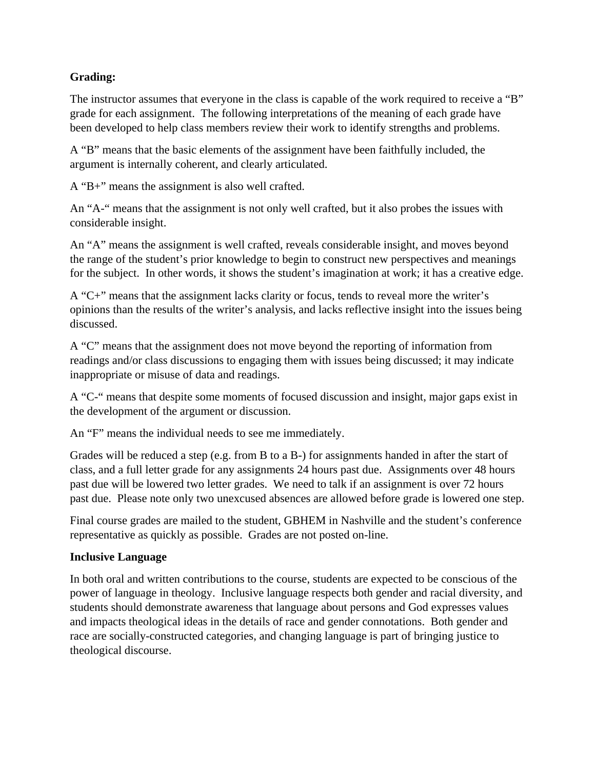## **Grading:**

The instructor assumes that everyone in the class is capable of the work required to receive a "B" grade for each assignment. The following interpretations of the meaning of each grade have been developed to help class members review their work to identify strengths and problems.

A "B" means that the basic elements of the assignment have been faithfully included, the argument is internally coherent, and clearly articulated.

A "B+" means the assignment is also well crafted.

An "A-" means that the assignment is not only well crafted, but it also probes the issues with considerable insight.

An "A" means the assignment is well crafted, reveals considerable insight, and moves beyond the range of the student's prior knowledge to begin to construct new perspectives and meanings for the subject. In other words, it shows the student's imagination at work; it has a creative edge.

A "C+" means that the assignment lacks clarity or focus, tends to reveal more the writer's opinions than the results of the writer's analysis, and lacks reflective insight into the issues being discussed.

A "C" means that the assignment does not move beyond the reporting of information from readings and/or class discussions to engaging them with issues being discussed; it may indicate inappropriate or misuse of data and readings.

A "C-" means that despite some moments of focused discussion and insight, major gaps exist in the development of the argument or discussion.

An "F" means the individual needs to see me immediately.

Grades will be reduced a step (e.g. from B to a B-) for assignments handed in after the start of class, and a full letter grade for any assignments 24 hours past due. Assignments over 48 hours past due will be lowered two letter grades. We need to talk if an assignment is over 72 hours past due. Please note only two unexcused absences are allowed before grade is lowered one step.

Final course grades are mailed to the student, GBHEM in Nashville and the student's conference representative as quickly as possible. Grades are not posted on-line.

## **Inclusive Language**

In both oral and written contributions to the course, students are expected to be conscious of the power of language in theology. Inclusive language respects both gender and racial diversity, and students should demonstrate awareness that language about persons and God expresses values and impacts theological ideas in the details of race and gender connotations. Both gender and race are socially-constructed categories, and changing language is part of bringing justice to theological discourse.